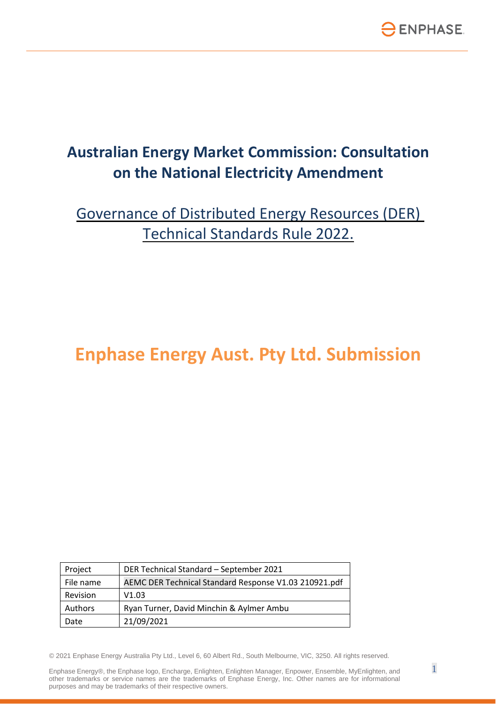

# **Australian Energy Market Commission: Consultation on the National Electricity Amendment**

Governance of Distributed Energy Resources (DER) Technical Standards Rule 2022.

# **Enphase Energy Aust. Pty Ltd. Submission**

| Project   | DER Technical Standard - September 2021               |
|-----------|-------------------------------------------------------|
| File name | AEMC DER Technical Standard Response V1.03 210921.pdf |
| Revision  | V1.03                                                 |
| Authors   | Ryan Turner, David Minchin & Aylmer Ambu              |
| Date      | 21/09/2021                                            |

© 2021 Enphase Energy Australia Pty Ltd., Level 6, 60 Albert Rd., South Melbourne, VIC, 3250. All rights reserved.

Enphase Energy®, the Enphase logo, Encharge, Enlighten, Enlighten Manager, Enpower, Ensemble, MyEnlighten, and  $1$ other trademarks or service names are the trademarks of Enphase Energy, Inc. Other names are for informational purposes and may be trademarks of their respective owners.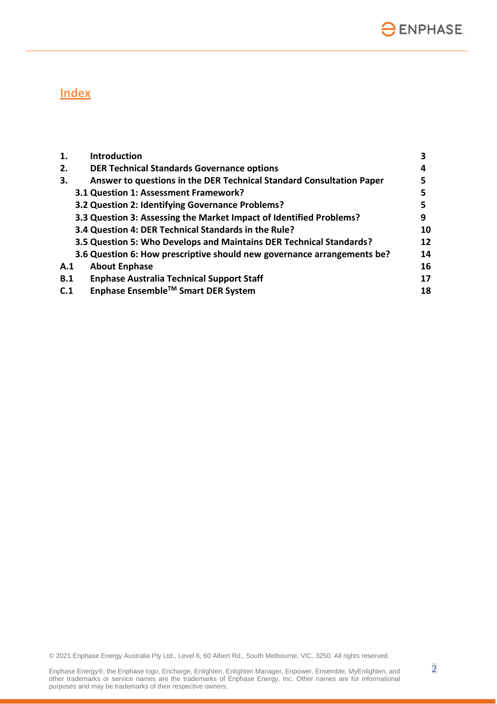

## **Index**

| 1.  | <b>Introduction</b>                                                     |    |
|-----|-------------------------------------------------------------------------|----|
| 2.  | <b>DER Technical Standards Governance options</b>                       | 4  |
| 3.  | Answer to questions in the DER Technical Standard Consultation Paper    | 5  |
|     | 3.1 Question 1: Assessment Framework?                                   |    |
|     | 3.2 Question 2: Identifying Governance Problems?                        | 5  |
|     | 3.3 Question 3: Assessing the Market Impact of Identified Problems?     | 9  |
|     | 3.4 Question 4: DER Technical Standards in the Rule?                    | 10 |
|     | 3.5 Question 5: Who Develops and Maintains DER Technical Standards?     | 12 |
|     | 3.6 Question 6: How prescriptive should new governance arrangements be? | 14 |
| A.1 | <b>About Enphase</b>                                                    | 16 |
| B.1 | <b>Enphase Australia Technical Support Staff</b>                        | 17 |
| C.1 | Enphase Ensemble™ Smart DER System                                      | 18 |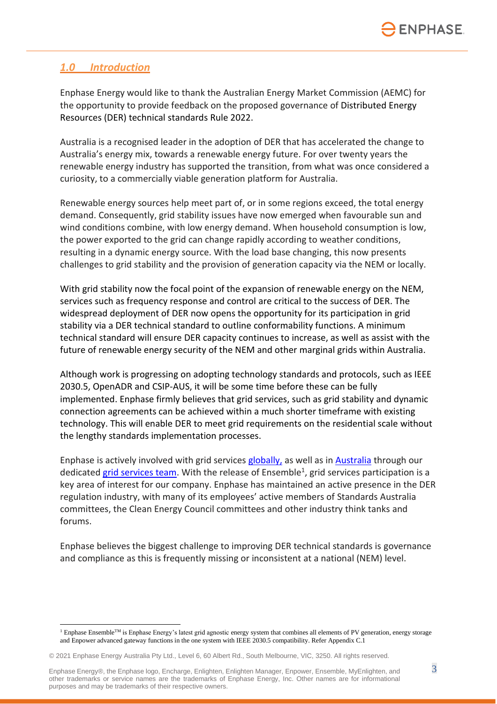## *1.0 Introduction*

Enphase Energy would like to thank the Australian Energy Market Commission (AEMC) for the opportunity to provide feedback on the proposed governance of Distributed Energy Resources (DER) technical standards Rule 2022.

Australia is a recognised leader in the adoption of DER that has accelerated the change to Australia's energy mix, towards a renewable energy future. For over twenty years the renewable energy industry has supported the transition, from what was once considered a curiosity, to a commercially viable generation platform for Australia.

Renewable energy sources help meet part of, or in some regions exceed, the total energy demand. Consequently, grid stability issues have now emerged when favourable sun and wind conditions combine, with low energy demand. When household consumption is low, the power exported to the grid can change rapidly according to weather conditions, resulting in a dynamic energy source. With the load base changing, this now presents challenges to grid stability and the provision of generation capacity via the NEM or locally.

With grid stability now the focal point of the expansion of renewable energy on the NEM, services such as frequency response and control are critical to the success of DER. The widespread deployment of DER now opens the opportunity for its participation in grid stability via a DER technical standard to outline conformability functions. A minimum technical standard will ensure DER capacity continues to increase, as well as assist with the future of renewable energy security of the NEM and other marginal grids within Australia.

Although work is progressing on adopting technology standards and protocols, such as IEEE 2030.5, OpenADR and CSIP-AUS, it will be some time before these can be fully implemented. Enphase firmly believes that grid services, such as grid stability and dynamic connection agreements can be achieved within a much shorter timeframe with existing technology. This will enable DER to meet grid requirements on the residential scale without the lengthy standards implementation processes.

Enphase is actively involved with grid services [globally,](https://enphase.com/installers/services/grid-services/connectedsolutions) as well as in [Australia](https://dex.energy/case_study/case-study-enphase/) through our dedicated [grid services team.](https://www4.enphase.com/en-us/gridservices) With the release of Ensemble<sup>1</sup>, grid services participation is a key area of interest for our company. Enphase has maintained an active presence in the DER regulation industry, with many of its employees' active members of Standards Australia committees, the Clean Energy Council committees and other industry think tanks and forums.

Enphase believes the biggest challenge to improving DER technical standards is governance and compliance as this is frequently missing or inconsistent at a national (NEM) level.

Enphase Energy®, the Enphase logo, Encharge, Enlighten, Enlighten Manager, Enpower, Ensemble, MyEnlighten, and  $3$ other trademarks or service names are the trademarks of Enphase Energy, Inc. Other names are for informational purposes and may be trademarks of their respective owners.

<sup>&</sup>lt;sup>1</sup> Enphase Ensemble<sup>TM</sup> is Enphase Energy's latest grid agnostic energy system that combines all elements of PV generation, energy storage and Enpower advanced gateway functions in the one system with IEEE 2030.5 compatibility. Refer Appendix C.1

<sup>© 2021</sup> Enphase Energy Australia Pty Ltd., Level 6, 60 Albert Rd., South Melbourne, VIC, 3250. All rights reserved.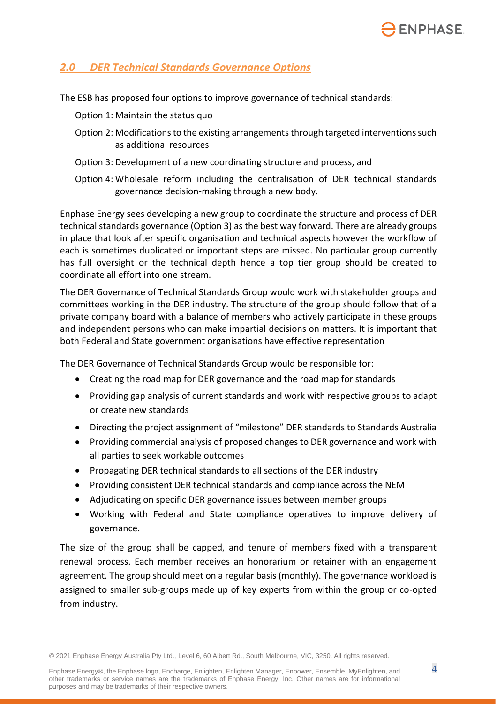## *2.0 DER Technical Standards Governance Options*

The ESB has proposed four options to improve governance of technical standards:

Option 1: Maintain the status quo

- Option 2: Modifications to the existing arrangements through targeted interventions such as additional resources
- Option 3: Development of a new coordinating structure and process, and
- Option 4: Wholesale reform including the centralisation of DER technical standards governance decision-making through a new body.

Enphase Energy sees developing a new group to coordinate the structure and process of DER technical standards governance (Option 3) as the best way forward. There are already groups in place that look after specific organisation and technical aspects however the workflow of each is sometimes duplicated or important steps are missed. No particular group currently has full oversight or the technical depth hence a top tier group should be created to coordinate all effort into one stream.

The DER Governance of Technical Standards Group would work with stakeholder groups and committees working in the DER industry. The structure of the group should follow that of a private company board with a balance of members who actively participate in these groups and independent persons who can make impartial decisions on matters. It is important that both Federal and State government organisations have effective representation

The DER Governance of Technical Standards Group would be responsible for:

- Creating the road map for DER governance and the road map for standards
- Providing gap analysis of current standards and work with respective groups to adapt or create new standards
- Directing the project assignment of "milestone" DER standards to Standards Australia
- Providing commercial analysis of proposed changes to DER governance and work with all parties to seek workable outcomes
- Propagating DER technical standards to all sections of the DER industry
- Providing consistent DER technical standards and compliance across the NEM
- Adjudicating on specific DER governance issues between member groups
- Working with Federal and State compliance operatives to improve delivery of governance.

The size of the group shall be capped, and tenure of members fixed with a transparent renewal process. Each member receives an honorarium or retainer with an engagement agreement. The group should meet on a regular basis (monthly). The governance workload is assigned to smaller sub-groups made up of key experts from within the group or co-opted from industry.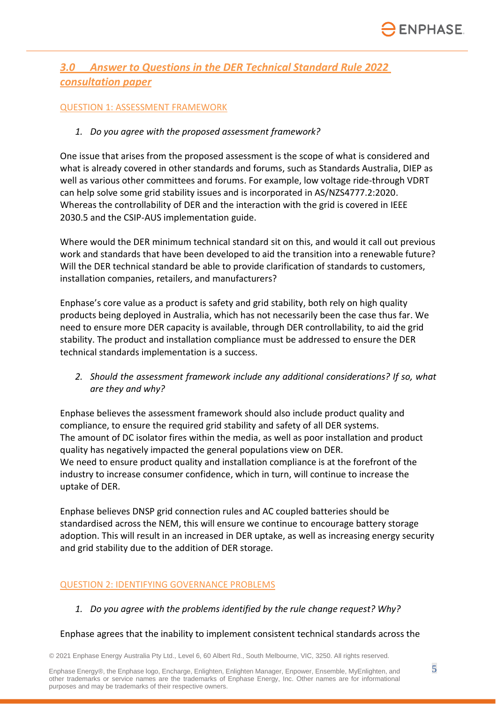## *3.0 Answer to Questions in the DER Technical Standard Rule 2022 consultation paper*

#### QUESTION 1: ASSESSMENT FRAMEWORK

#### *1. Do you agree with the proposed assessment framework?*

One issue that arises from the proposed assessment is the scope of what is considered and what is already covered in other standards and forums, such as Standards Australia, DIEP as well as various other committees and forums. For example, low voltage ride-through VDRT can help solve some grid stability issues and is incorporated in AS/NZS4777.2:2020. Whereas the controllability of DER and the interaction with the grid is covered in IEEE 2030.5 and the CSIP-AUS implementation guide.

Where would the DER minimum technical standard sit on this, and would it call out previous work and standards that have been developed to aid the transition into a renewable future? Will the DER technical standard be able to provide clarification of standards to customers, installation companies, retailers, and manufacturers?

Enphase's core value as a product is safety and grid stability, both rely on high quality products being deployed in Australia, which has not necessarily been the case thus far. We need to ensure more DER capacity is available, through DER controllability, to aid the grid stability. The product and installation compliance must be addressed to ensure the DER technical standards implementation is a success.

*2. Should the assessment framework include any additional considerations? If so, what are they and why?*

Enphase believes the assessment framework should also include product quality and compliance, to ensure the required grid stability and safety of all DER systems. The amount of DC isolator fires within the media, as well as poor installation and product quality has negatively impacted the general populations view on DER. We need to ensure product quality and installation compliance is at the forefront of the industry to increase consumer confidence, which in turn, will continue to increase the uptake of DER.

Enphase believes DNSP grid connection rules and AC coupled batteries should be standardised across the NEM, this will ensure we continue to encourage battery storage adoption. This will result in an increased in DER uptake, as well as increasing energy security and grid stability due to the addition of DER storage.

#### QUESTION 2: IDENTIFYING GOVERNANCE PROBLEMS

*1. Do you agree with the problems identified by the rule change request? Why?*

#### Enphase agrees that the inability to implement consistent technical standards across the

© 2021 Enphase Energy Australia Pty Ltd., Level 6, 60 Albert Rd., South Melbourne, VIC, 3250. All rights reserved.

Enphase Energy®, the Enphase logo, Encharge, Enlighten, Enlighten Manager, Enpower, Ensemble, MyEnlighten, and  $5$ other trademarks or service names are the trademarks of Enphase Energy, Inc. Other names are for informational purposes and may be trademarks of their respective owners.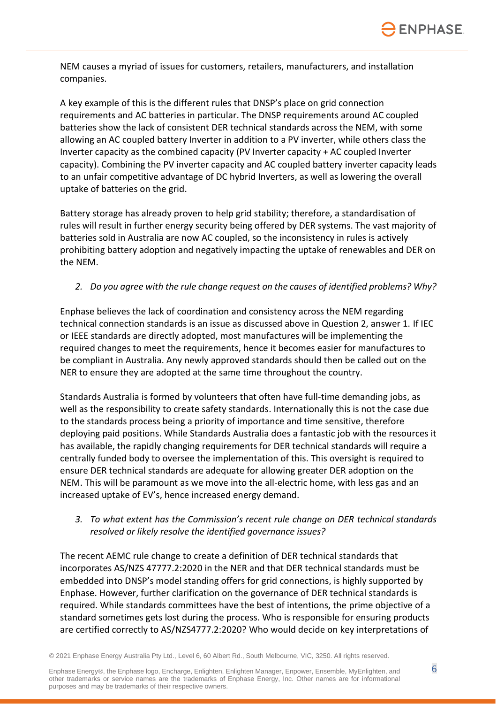

NEM causes a myriad of issues for customers, retailers, manufacturers, and installation companies.

A key example of this is the different rules that DNSP's place on grid connection requirements and AC batteries in particular. The DNSP requirements around AC coupled batteries show the lack of consistent DER technical standards across the NEM, with some allowing an AC coupled battery Inverter in addition to a PV inverter, while others class the Inverter capacity as the combined capacity (PV Inverter capacity + AC coupled Inverter capacity). Combining the PV inverter capacity and AC coupled battery inverter capacity leads to an unfair competitive advantage of DC hybrid Inverters, as well as lowering the overall uptake of batteries on the grid.

Battery storage has already proven to help grid stability; therefore, a standardisation of rules will result in further energy security being offered by DER systems. The vast majority of batteries sold in Australia are now AC coupled, so the inconsistency in rules is actively prohibiting battery adoption and negatively impacting the uptake of renewables and DER on the NEM.

#### *2. Do you agree with the rule change request on the causes of identified problems? Why?*

Enphase believes the lack of coordination and consistency across the NEM regarding technical connection standards is an issue as discussed above in Question 2, answer 1. If IEC or IEEE standards are directly adopted, most manufactures will be implementing the required changes to meet the requirements, hence it becomes easier for manufactures to be compliant in Australia. Any newly approved standards should then be called out on the NER to ensure they are adopted at the same time throughout the country.

Standards Australia is formed by volunteers that often have full-time demanding jobs, as well as the responsibility to create safety standards. Internationally this is not the case due to the standards process being a priority of importance and time sensitive, therefore deploying paid positions. While Standards Australia does a fantastic job with the resources it has available, the rapidly changing requirements for DER technical standards will require a centrally funded body to oversee the implementation of this. This oversight is required to ensure DER technical standards are adequate for allowing greater DER adoption on the NEM. This will be paramount as we move into the all-electric home, with less gas and an increased uptake of EV's, hence increased energy demand.

#### *3. To what extent has the Commission's recent rule change on DER technical standards resolved or likely resolve the identified governance issues?*

The recent AEMC rule change to create a definition of DER technical standards that incorporates AS/NZS 47777.2:2020 in the NER and that DER technical standards must be embedded into DNSP's model standing offers for grid connections, is highly supported by Enphase. However, further clarification on the governance of DER technical standards is required. While standards committees have the best of intentions, the prime objective of a standard sometimes gets lost during the process. Who is responsible for ensuring products are certified correctly to AS/NZS4777.2:2020? Who would decide on key interpretations of

© 2021 Enphase Energy Australia Pty Ltd., Level 6, 60 Albert Rd., South Melbourne, VIC, 3250. All rights reserved.

Enphase Energy®, the Enphase logo, Encharge, Enlighten, Enlighten Manager, Enpower, Ensemble, MyEnlighten, and  $6$ other trademarks or service names are the trademarks of Enphase Energy, Inc. Other names are for informational purposes and may be trademarks of their respective owners.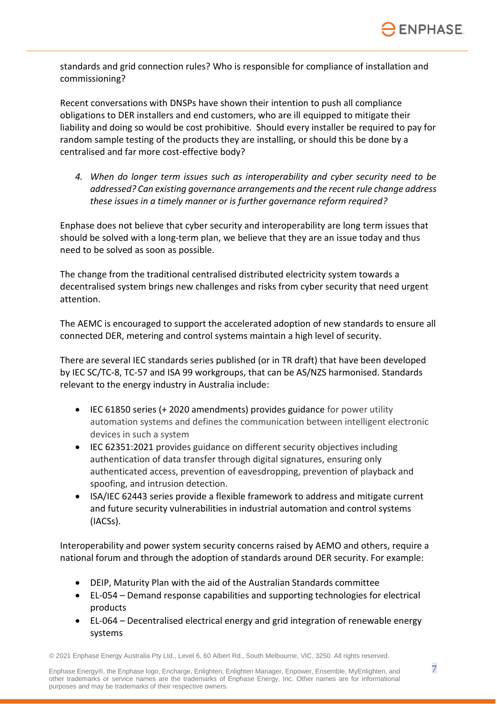

standards and grid connection rules? Who is responsible for compliance of installation and commissioning?

Recent conversations with DNSPs have shown their intention to push all compliance obligations to DER installers and end customers, who are ill equipped to mitigate their liability and doing so would be cost prohibitive. Should every installer be required to pay for random sample testing of the products they are installing, or should this be done by a centralised and far more cost-effective body?

*4. When do longer term issues such as interoperability and cyber security need to be addressed? Can existing governance arrangements and the recent rule change address these issues in a timely manner or is further governance reform required?*

Enphase does not believe that cyber security and interoperability are long term issues that should be solved with a long-term plan, we believe that they are an issue today and thus need to be solved as soon as possible.

The change from the traditional centralised distributed electricity system towards a decentralised system brings new challenges and risks from cyber security that need urgent attention.

The AEMC is encouraged to support the accelerated adoption of new standards to ensure all connected DER, metering and control systems maintain a high level of security.

There are several IEC standards series published (or in TR draft) that have been developed by IEC SC/TC-8, TC-57 and ISA 99 workgroups, that can be AS/NZS harmonised. Standards relevant to the energy industry in Australia include:

- IEC 61850 series (+ 2020 amendments) provides guidance for power utility automation systems and defines the communication between intelligent electronic devices in such a system
- IEC 62351:2021 provides guidance on different security objectives including authentication of data transfer through digital signatures, ensuring only authenticated access, prevention of eavesdropping, prevention of playback and spoofing, and intrusion detection.
- ISA/IEC 62443 series provide a flexible framework to address and mitigate current and future security vulnerabilities in industrial automation and control systems (IACSs).

Interoperability and power system security concerns raised by AEMO and others, require a national forum and through the adoption of standards around DER security. For example:

- DEIP, Maturity Plan with the aid of the Australian Standards committee
- EL-054 Demand response capabilities and supporting technologies for electrical products
- EL-064 Decentralised electrical energy and grid integration of renewable energy systems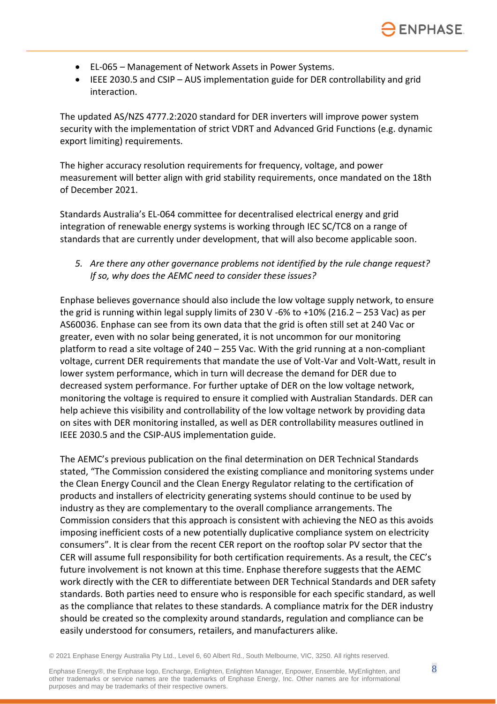- EL-065 Management of Network Assets in Power Systems.
- IEEE 2030.5 and CSIP AUS implementation guide for DER controllability and grid interaction.

The updated AS/NZS 4777.2:2020 standard for DER inverters will improve power system security with the implementation of strict VDRT and Advanced Grid Functions (e.g. dynamic export limiting) requirements.

The higher accuracy resolution requirements for frequency, voltage, and power measurement will better align with grid stability requirements, once mandated on the 18th of December 2021.

Standards Australia's EL-064 committee for decentralised electrical energy and grid integration of renewable energy systems is working through IEC SC/TC8 on a range of standards that are currently under development, that will also become applicable soon.

*5. Are there any other governance problems not identified by the rule change request? If so, why does the AEMC need to consider these issues?*

Enphase believes governance should also include the low voltage supply network, to ensure the grid is running within legal supply limits of 230 V -6% to +10% (216.2 – 253 Vac) as per AS60036. Enphase can see from its own data that the grid is often still set at 240 Vac or greater, even with no solar being generated, it is not uncommon for our monitoring platform to read a site voltage of 240 – 255 Vac. With the grid running at a non-compliant voltage, current DER requirements that mandate the use of Volt-Var and Volt-Watt, result in lower system performance, which in turn will decrease the demand for DER due to decreased system performance. For further uptake of DER on the low voltage network, monitoring the voltage is required to ensure it complied with Australian Standards. DER can help achieve this visibility and controllability of the low voltage network by providing data on sites with DER monitoring installed, as well as DER controllability measures outlined in IEEE 2030.5 and the CSIP-AUS implementation guide.

The AEMC's previous publication on the final determination on DER Technical Standards stated, "The Commission considered the existing compliance and monitoring systems under the Clean Energy Council and the Clean Energy Regulator relating to the certification of products and installers of electricity generating systems should continue to be used by industry as they are complementary to the overall compliance arrangements. The Commission considers that this approach is consistent with achieving the NEO as this avoids imposing inefficient costs of a new potentially duplicative compliance system on electricity consumers". It is clear from the recent CER report on the rooftop solar PV sector that the CER will assume full responsibility for both certification requirements. As a result, the CEC's future involvement is not known at this time. Enphase therefore suggests that the AEMC work directly with the CER to differentiate between DER Technical Standards and DER safety standards. Both parties need to ensure who is responsible for each specific standard, as well as the compliance that relates to these standards. A compliance matrix for the DER industry should be created so the complexity around standards, regulation and compliance can be easily understood for consumers, retailers, and manufacturers alike.

© 2021 Enphase Energy Australia Pty Ltd., Level 6, 60 Albert Rd., South Melbourne, VIC, 3250. All rights reserved.

Enphase Energy®, the Enphase logo, Encharge, Enlighten, Enlighten Manager, Enpower, Ensemble, MyEnlighten, and  $8$ other trademarks or service names are the trademarks of Enphase Energy, Inc. Other names are for informational purposes and may be trademarks of their respective owners.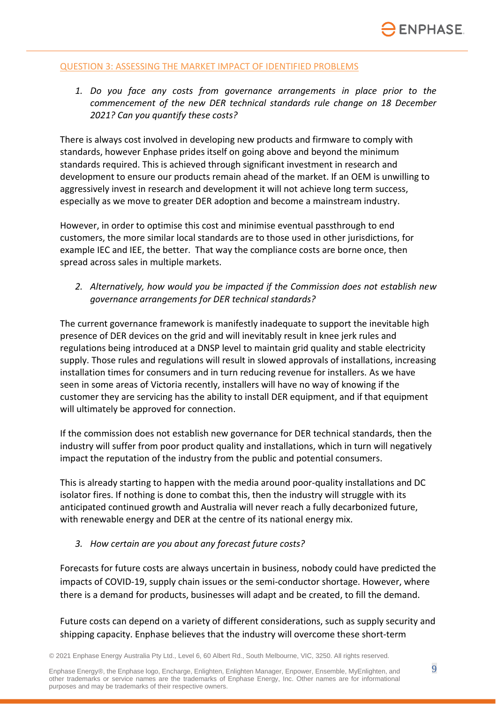#### QUESTION 3: ASSESSING THE MARKET IMPACT OF IDENTIFIED PROBLEMS

*1. Do you face any costs from governance arrangements in place prior to the commencement of the new DER technical standards rule change on 18 December 2021? Can you quantify these costs?*

There is always cost involved in developing new products and firmware to comply with standards, however Enphase prides itself on going above and beyond the minimum standards required. This is achieved through significant investment in research and development to ensure our products remain ahead of the market. If an OEM is unwilling to aggressively invest in research and development it will not achieve long term success, especially as we move to greater DER adoption and become a mainstream industry.

However, in order to optimise this cost and minimise eventual passthrough to end customers, the more similar local standards are to those used in other jurisdictions, for example IEC and IEE, the better. That way the compliance costs are borne once, then spread across sales in multiple markets.

*2. Alternatively, how would you be impacted if the Commission does not establish new governance arrangements for DER technical standards?*

The current governance framework is manifestly inadequate to support the inevitable high presence of DER devices on the grid and will inevitably result in knee jerk rules and regulations being introduced at a DNSP level to maintain grid quality and stable electricity supply. Those rules and regulations will result in slowed approvals of installations, increasing installation times for consumers and in turn reducing revenue for installers. As we have seen in some areas of Victoria recently, installers will have no way of knowing if the customer they are servicing has the ability to install DER equipment, and if that equipment will ultimately be approved for connection.

If the commission does not establish new governance for DER technical standards, then the industry will suffer from poor product quality and installations, which in turn will negatively impact the reputation of the industry from the public and potential consumers.

This is already starting to happen with the media around poor-quality installations and DC isolator fires. If nothing is done to combat this, then the industry will struggle with its anticipated continued growth and Australia will never reach a fully decarbonized future, with renewable energy and DER at the centre of its national energy mix.

*3. How certain are you about any forecast future costs?*

Forecasts for future costs are always uncertain in business, nobody could have predicted the impacts of COVID-19, supply chain issues or the semi-conductor shortage. However, where there is a demand for products, businesses will adapt and be created, to fill the demand.

Future costs can depend on a variety of different considerations, such as supply security and shipping capacity. Enphase believes that the industry will overcome these short-term

© 2021 Enphase Energy Australia Pty Ltd., Level 6, 60 Albert Rd., South Melbourne, VIC, 3250. All rights reserved.

Enphase Energy®, the Enphase logo, Encharge, Enlighten, Enlighten Manager, Enpower, Ensemble, MyEnlighten, and 9 other trademarks or service names are the trademarks of Enphase Energy, Inc. Other names are for informational purposes and may be trademarks of their respective owners.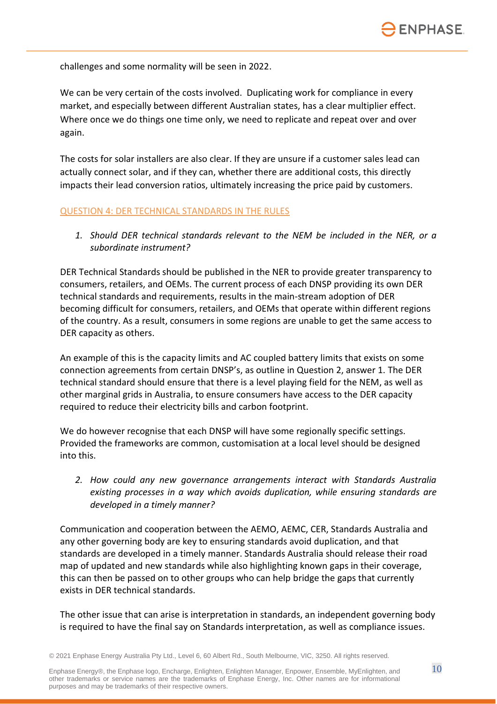challenges and some normality will be seen in 2022.

We can be very certain of the costs involved. Duplicating work for compliance in every market, and especially between different Australian states, has a clear multiplier effect. Where once we do things one time only, we need to replicate and repeat over and over again.

The costs for solar installers are also clear. If they are unsure if a customer sales lead can actually connect solar, and if they can, whether there are additional costs, this directly impacts their lead conversion ratios, ultimately increasing the price paid by customers.

#### QUESTION 4: DER TECHNICAL STANDARDS IN THE RULES

*1. Should DER technical standards relevant to the NEM be included in the NER, or a subordinate instrument?*

DER Technical Standards should be published in the NER to provide greater transparency to consumers, retailers, and OEMs. The current process of each DNSP providing its own DER technical standards and requirements, results in the main-stream adoption of DER becoming difficult for consumers, retailers, and OEMs that operate within different regions of the country. As a result, consumers in some regions are unable to get the same access to DER capacity as others.

An example of this is the capacity limits and AC coupled battery limits that exists on some connection agreements from certain DNSP's, as outline in Question 2, answer 1. The DER technical standard should ensure that there is a level playing field for the NEM, as well as other marginal grids in Australia, to ensure consumers have access to the DER capacity required to reduce their electricity bills and carbon footprint.

We do however recognise that each DNSP will have some regionally specific settings. Provided the frameworks are common, customisation at a local level should be designed into this.

*2. How could any new governance arrangements interact with Standards Australia existing processes in a way which avoids duplication, while ensuring standards are developed in a timely manner?*

Communication and cooperation between the AEMO, AEMC, CER, Standards Australia and any other governing body are key to ensuring standards avoid duplication, and that standards are developed in a timely manner. Standards Australia should release their road map of updated and new standards while also highlighting known gaps in their coverage, this can then be passed on to other groups who can help bridge the gaps that currently exists in DER technical standards.

The other issue that can arise is interpretation in standards, an independent governing body is required to have the final say on Standards interpretation, as well as compliance issues.

© 2021 Enphase Energy Australia Pty Ltd., Level 6, 60 Albert Rd., South Melbourne, VIC, 3250. All rights reserved.

Enphase Energy®, the Enphase logo, Encharge, Enlighten, Enlighten Manager, Enpower, Ensemble, MyEnlighten, and  $10$ other trademarks or service names are the trademarks of Enphase Energy, Inc. Other names are for informational purposes and may be trademarks of their respective owners.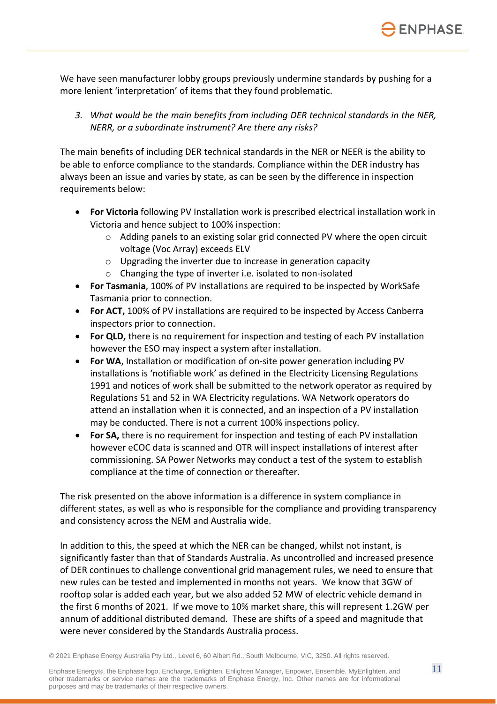We have seen manufacturer lobby groups previously undermine standards by pushing for a more lenient 'interpretation' of items that they found problematic.

*3. What would be the main benefits from including DER technical standards in the NER, NERR, or a subordinate instrument? Are there any risks?*

The main benefits of including DER technical standards in the NER or NEER is the ability to be able to enforce compliance to the standards. Compliance within the DER industry has always been an issue and varies by state, as can be seen by the difference in inspection requirements below:

- **For Victoria** following PV Installation work is prescribed electrical installation work in Victoria and hence subject to 100% inspection:
	- $\circ$  Adding panels to an existing solar grid connected PV where the open circuit voltage (Voc Array) exceeds ELV
	- o Upgrading the inverter due to increase in generation capacity
	- o Changing the type of inverter i.e. isolated to non-isolated
- **For Tasmania**, 100% of PV installations are required to be inspected by WorkSafe Tasmania prior to connection.
- **For ACT,** 100% of PV installations are required to be inspected by Access Canberra inspectors prior to connection.
- **For QLD,** there is no requirement for inspection and testing of each PV installation however the ESO may inspect a system after installation.
- **For WA**, Installation or modification of on-site power generation including PV installations is 'notifiable work' as defined in the Electricity Licensing Regulations 1991 and notices of work shall be submitted to the network operator as required by Regulations 51 and 52 in WA Electricity regulations. WA Network operators do attend an installation when it is connected, and an inspection of a PV installation may be conducted. There is not a current 100% inspections policy.
- **For SA,** there is no requirement for inspection and testing of each PV installation however eCOC data is scanned and OTR will inspect installations of interest after commissioning. SA Power Networks may conduct a test of the system to establish compliance at the time of connection or thereafter.

The risk presented on the above information is a difference in system compliance in different states, as well as who is responsible for the compliance and providing transparency and consistency across the NEM and Australia wide.

In addition to this, the speed at which the NER can be changed, whilst not instant, is significantly faster than that of Standards Australia. As uncontrolled and increased presence of DER continues to challenge conventional grid management rules, we need to ensure that new rules can be tested and implemented in months not years. We know that 3GW of rooftop solar is added each year, but we also added 52 MW of electric vehicle demand in the first 6 months of 2021. If we move to 10% market share, this will represent 1.2GW per annum of additional distributed demand. These are shifts of a speed and magnitude that were never considered by the Standards Australia process.

© 2021 Enphase Energy Australia Pty Ltd., Level 6, 60 Albert Rd., South Melbourne, VIC, 3250. All rights reserved.

Enphase Energy®, the Enphase logo, Encharge, Enlighten, Enlighten Manager, Enpower, Ensemble, MyEnlighten, and  $11$ other trademarks or service names are the trademarks of Enphase Energy, Inc. Other names are for informational purposes and may be trademarks of their respective owners.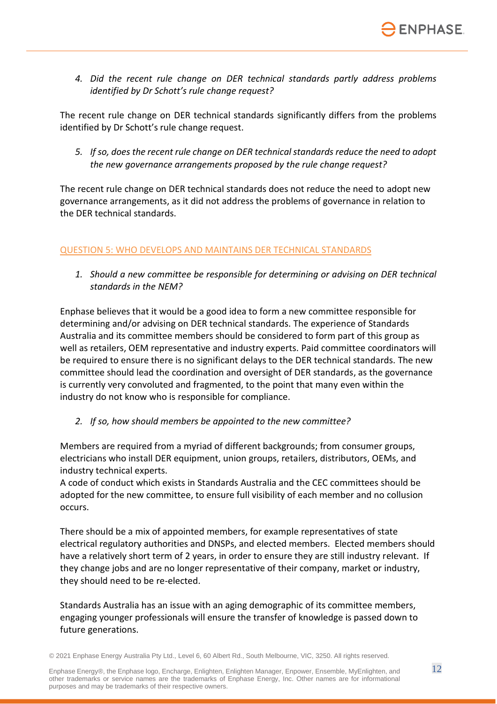

*4. Did the recent rule change on DER technical standards partly address problems identified by Dr Schott's rule change request?*

The recent rule change on DER technical standards significantly differs from the problems identified by Dr Schott's rule change request.

*5. If so, does the recent rule change on DER technical standards reduce the need to adopt the new governance arrangements proposed by the rule change request?*

The recent rule change on DER technical standards does not reduce the need to adopt new governance arrangements, as it did not address the problems of governance in relation to the DER technical standards.

#### QUESTION 5: WHO DEVELOPS AND MAINTAINS DER TECHNICAL STANDARDS

*1. Should a new committee be responsible for determining or advising on DER technical standards in the NEM?*

Enphase believes that it would be a good idea to form a new committee responsible for determining and/or advising on DER technical standards. The experience of Standards Australia and its committee members should be considered to form part of this group as well as retailers, OEM representative and industry experts. Paid committee coordinators will be required to ensure there is no significant delays to the DER technical standards. The new committee should lead the coordination and oversight of DER standards, as the governance is currently very convoluted and fragmented, to the point that many even within the industry do not know who is responsible for compliance.

#### *2. If so, how should members be appointed to the new committee?*

Members are required from a myriad of different backgrounds; from consumer groups, electricians who install DER equipment, union groups, retailers, distributors, OEMs, and industry technical experts.

A code of conduct which exists in Standards Australia and the CEC committees should be adopted for the new committee, to ensure full visibility of each member and no collusion occurs.

There should be a mix of appointed members, for example representatives of state electrical regulatory authorities and DNSPs, and elected members. Elected members should have a relatively short term of 2 years, in order to ensure they are still industry relevant. If they change jobs and are no longer representative of their company, market or industry, they should need to be re-elected.

Standards Australia has an issue with an aging demographic of its committee members, engaging younger professionals will ensure the transfer of knowledge is passed down to future generations.

© 2021 Enphase Energy Australia Pty Ltd., Level 6, 60 Albert Rd., South Melbourne, VIC, 3250. All rights reserved.

Enphase Energy®, the Enphase logo, Encharge, Enlighten, Enlighten Manager, Enpower, Ensemble, MyEnlighten, and  $12$ other trademarks or service names are the trademarks of Enphase Energy, Inc. Other names are for informational purposes and may be trademarks of their respective owners.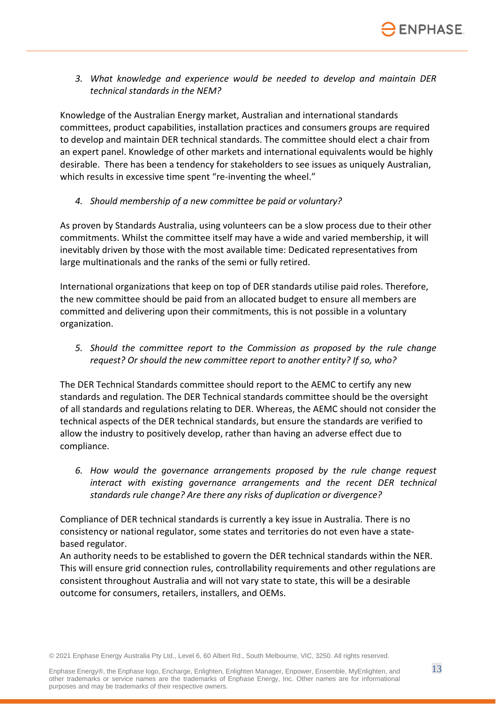*3. What knowledge and experience would be needed to develop and maintain DER technical standards in the NEM?*

Knowledge of the Australian Energy market, Australian and international standards committees, product capabilities, installation practices and consumers groups are required to develop and maintain DER technical standards. The committee should elect a chair from an expert panel. Knowledge of other markets and international equivalents would be highly desirable. There has been a tendency for stakeholders to see issues as uniquely Australian, which results in excessive time spent "re-inventing the wheel."

*4. Should membership of a new committee be paid or voluntary?*

As proven by Standards Australia, using volunteers can be a slow process due to their other commitments. Whilst the committee itself may have a wide and varied membership, it will inevitably driven by those with the most available time: Dedicated representatives from large multinationals and the ranks of the semi or fully retired.

International organizations that keep on top of DER standards utilise paid roles. Therefore, the new committee should be paid from an allocated budget to ensure all members are committed and delivering upon their commitments, this is not possible in a voluntary organization.

*5. Should the committee report to the Commission as proposed by the rule change request? Or should the new committee report to another entity? If so, who?*

The DER Technical Standards committee should report to the AEMC to certify any new standards and regulation. The DER Technical standards committee should be the oversight of all standards and regulations relating to DER. Whereas, the AEMC should not consider the technical aspects of the DER technical standards, but ensure the standards are verified to allow the industry to positively develop, rather than having an adverse effect due to compliance.

*6. How would the governance arrangements proposed by the rule change request interact with existing governance arrangements and the recent DER technical standards rule change? Are there any risks of duplication or divergence?*

Compliance of DER technical standards is currently a key issue in Australia. There is no consistency or national regulator, some states and territories do not even have a statebased regulator.

An authority needs to be established to govern the DER technical standards within the NER. This will ensure grid connection rules, controllability requirements and other regulations are consistent throughout Australia and will not vary state to state, this will be a desirable outcome for consumers, retailers, installers, and OEMs.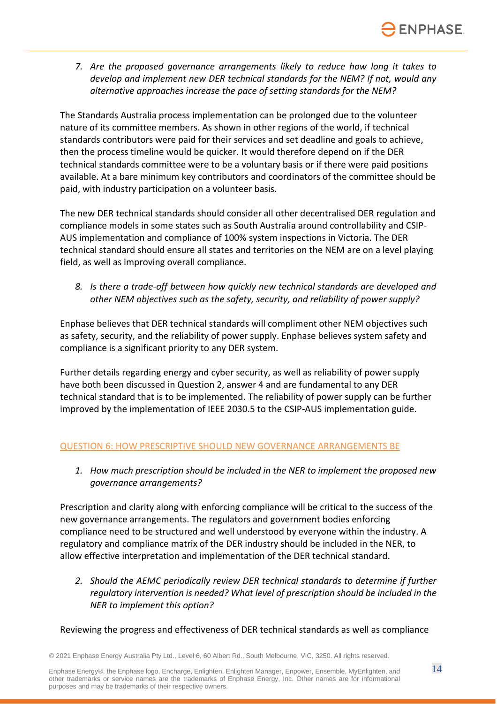*7. Are the proposed governance arrangements likely to reduce how long it takes to develop and implement new DER technical standards for the NEM? If not, would any alternative approaches increase the pace of setting standards for the NEM?*

The Standards Australia process implementation can be prolonged due to the volunteer nature of its committee members. As shown in other regions of the world, if technical standards contributors were paid for their services and set deadline and goals to achieve, then the process timeline would be quicker. It would therefore depend on if the DER technical standards committee were to be a voluntary basis or if there were paid positions available. At a bare minimum key contributors and coordinators of the committee should be paid, with industry participation on a volunteer basis.

The new DER technical standards should consider all other decentralised DER regulation and compliance models in some states such as South Australia around controllability and CSIP-AUS implementation and compliance of 100% system inspections in Victoria. The DER technical standard should ensure all states and territories on the NEM are on a level playing field, as well as improving overall compliance.

*8. Is there a trade-off between how quickly new technical standards are developed and other NEM objectives such as the safety, security, and reliability of power supply?*

Enphase believes that DER technical standards will compliment other NEM objectives such as safety, security, and the reliability of power supply. Enphase believes system safety and compliance is a significant priority to any DER system.

Further details regarding energy and cyber security, as well as reliability of power supply have both been discussed in Question 2, answer 4 and are fundamental to any DER technical standard that is to be implemented. The reliability of power supply can be further improved by the implementation of IEEE 2030.5 to the CSIP-AUS implementation guide.

#### QUESTION 6: HOW PRESCRIPTIVE SHOULD NEW GOVERNANCE ARRANGEMENTS BE

*1. How much prescription should be included in the NER to implement the proposed new governance arrangements?*

Prescription and clarity along with enforcing compliance will be critical to the success of the new governance arrangements. The regulators and government bodies enforcing compliance need to be structured and well understood by everyone within the industry. A regulatory and compliance matrix of the DER industry should be included in the NER, to allow effective interpretation and implementation of the DER technical standard.

*2. Should the AEMC periodically review DER technical standards to determine if further regulatory intervention is needed? What level of prescription should be included in the NER to implement this option?*

#### Reviewing the progress and effectiveness of DER technical standards as well as compliance

© 2021 Enphase Energy Australia Pty Ltd., Level 6, 60 Albert Rd., South Melbourne, VIC, 3250. All rights reserved.

Enphase Energy®, the Enphase logo, Encharge, Enlighten, Enlighten Manager, Enpower, Ensemble, MyEnlighten, and  $14$ other trademarks or service names are the trademarks of Enphase Energy, Inc. Other names are for informational purposes and may be trademarks of their respective owners.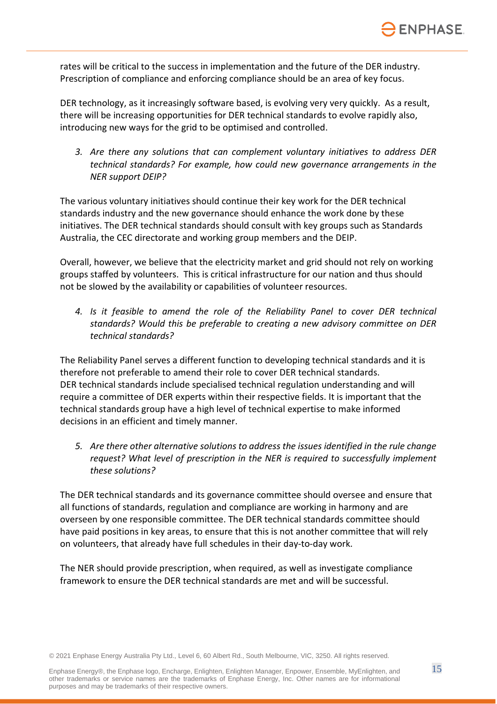rates will be critical to the success in implementation and the future of the DER industry. Prescription of compliance and enforcing compliance should be an area of key focus.

DER technology, as it increasingly software based, is evolving very very quickly. As a result, there will be increasing opportunities for DER technical standards to evolve rapidly also, introducing new ways for the grid to be optimised and controlled.

*3. Are there any solutions that can complement voluntary initiatives to address DER technical standards? For example, how could new governance arrangements in the NER support DEIP?*

The various voluntary initiatives should continue their key work for the DER technical standards industry and the new governance should enhance the work done by these initiatives. The DER technical standards should consult with key groups such as Standards Australia, the CEC directorate and working group members and the DEIP.

Overall, however, we believe that the electricity market and grid should not rely on working groups staffed by volunteers. This is critical infrastructure for our nation and thus should not be slowed by the availability or capabilities of volunteer resources.

*4. Is it feasible to amend the role of the Reliability Panel to cover DER technical standards? Would this be preferable to creating a new advisory committee on DER technical standards?*

The Reliability Panel serves a different function to developing technical standards and it is therefore not preferable to amend their role to cover DER technical standards. DER technical standards include specialised technical regulation understanding and will require a committee of DER experts within their respective fields. It is important that the technical standards group have a high level of technical expertise to make informed decisions in an efficient and timely manner.

*5. Are there other alternative solutions to address the issues identified in the rule change request? What level of prescription in the NER is required to successfully implement these solutions?*

The DER technical standards and its governance committee should oversee and ensure that all functions of standards, regulation and compliance are working in harmony and are overseen by one responsible committee. The DER technical standards committee should have paid positions in key areas, to ensure that this is not another committee that will rely on volunteers, that already have full schedules in their day-to-day work.

The NER should provide prescription, when required, as well as investigate compliance framework to ensure the DER technical standards are met and will be successful.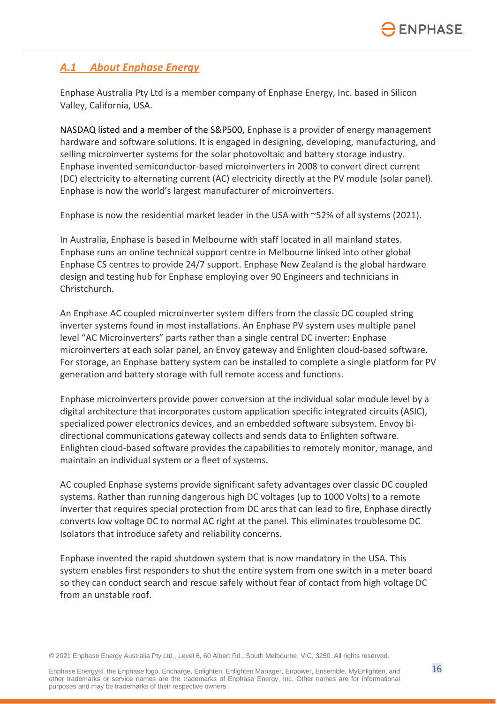## *A.1 About Enphase Energy*

Enphase Australia Pty Ltd is a member company of Enphase Energy, Inc. based in Silicon Valley, California, USA.

NASDAQ listed and a member of the S&P500, Enphase is a provider of energy management hardware and software solutions. It is engaged in designing, developing, manufacturing, and selling microinverter systems for the solar photovoltaic and battery storage industry. Enphase invented semiconductor-based microinverters in 2008 to convert direct current (DC) electricity to alternating current (AC) electricity directly at the PV module (solar panel). Enphase is now the world's largest manufacturer of microinverters.

Enphase is now the residential market leader in the USA with ~52% of all systems (2021).

In Australia, Enphase is based in Melbourne with staff located in all mainland states. Enphase runs an online technical support centre in Melbourne linked into other global Enphase CS centres to provide 24/7 support. Enphase New Zealand is the global hardware design and testing hub for Enphase employing over 90 Engineers and technicians in Christchurch.

An Enphase AC coupled microinverter system differs from the classic DC coupled string inverter systems found in most installations. An Enphase PV system uses multiple panel level "AC Microinverters" parts rather than a single central DC inverter: Enphase microinverters at each solar panel, an Envoy gateway and Enlighten cloud-based software. For storage, an Enphase battery system can be installed to complete a single platform for PV generation and battery storage with full remote access and functions.

Enphase microinverters provide power conversion at the individual solar module level by a digital architecture that incorporates custom application specific integrated circuits (ASIC), specialized power electronics devices, and an embedded software subsystem. Envoy bidirectional communications gateway collects and sends data to Enlighten software. Enlighten cloud-based software provides the capabilities to remotely monitor, manage, and maintain an individual system or a fleet of systems.

AC coupled Enphase systems provide significant safety advantages over classic DC coupled systems. Rather than running dangerous high DC voltages (up to 1000 Volts) to a remote inverter that requires special protection from DC arcs that can lead to fire, Enphase directly converts low voltage DC to normal AC right at the panel. This eliminates troublesome DC Isolators that introduce safety and reliability concerns.

Enphase invented the rapid shutdown system that is now mandatory in the USA. This system enables first responders to shut the entire system from one switch in a meter board so they can conduct search and rescue safely without fear of contact from high voltage DC from an unstable roof.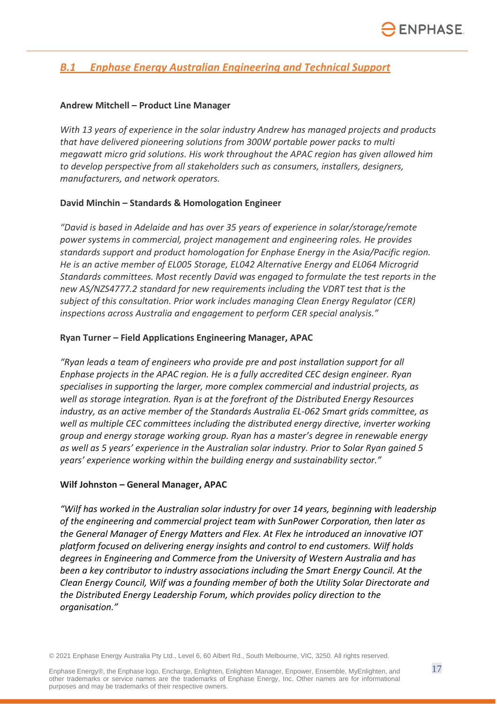## *B.1 Enphase Energy Australian Engineering and Technical Support*

#### **Andrew Mitchell – Product Line Manager**

*With 13 years of experience in the solar industry Andrew has managed projects and products that have delivered pioneering solutions from 300W portable power packs to multi megawatt micro grid solutions. His work throughout the APAC region has given allowed him to develop perspective from all stakeholders such as consumers, installers, designers, manufacturers, and network operators.*

#### **David Minchin – Standards & Homologation Engineer**

*"David is based in Adelaide and has over 35 years of experience in solar/storage/remote power systems in commercial, project management and engineering roles. He provides standards support and product homologation for Enphase Energy in the Asia/Pacific region. He is an active member of EL005 Storage, EL042 Alternative Energy and EL064 Microgrid Standards committees. Most recently David was engaged to formulate the test reports in the new AS/NZS4777.2 standard for new requirements including the VDRT test that is the subject of this consultation. Prior work includes managing Clean Energy Regulator (CER) inspections across Australia and engagement to perform CER special analysis."*

#### **Ryan Turner – Field Applications Engineering Manager, APAC**

*"Ryan leads a team of engineers who provide pre and post installation support for all Enphase projects in the APAC region. He is a fully accredited CEC design engineer. Ryan specialises in supporting the larger, more complex commercial and industrial projects, as well as storage integration. Ryan is at the forefront of the Distributed Energy Resources industry, as an active member of the Standards Australia EL-062 Smart grids committee, as well as multiple CEC committees including the distributed energy directive, inverter working group and energy storage working group. Ryan has a master's degree in renewable energy as well as 5 years' experience in the Australian solar industry. Prior to Solar Ryan gained 5 years' experience working within the building energy and sustainability sector."*

#### **Wilf Johnston – General Manager, APAC**

*"Wilf has worked in the Australian solar industry for over 14 years, beginning with leadership of the engineering and commercial project team with SunPower Corporation, then later as the General Manager of Energy Matters and Flex. At Flex he introduced an innovative IOT platform focused on delivering energy insights and control to end customers. Wilf holds degrees in Engineering and Commerce from the University of Western Australia and has been a key contributor to industry associations including the Smart Energy Council. At the Clean Energy Council, Wilf was a founding member of both the Utility Solar Directorate and the Distributed Energy Leadership Forum, which provides policy direction to the organisation."*